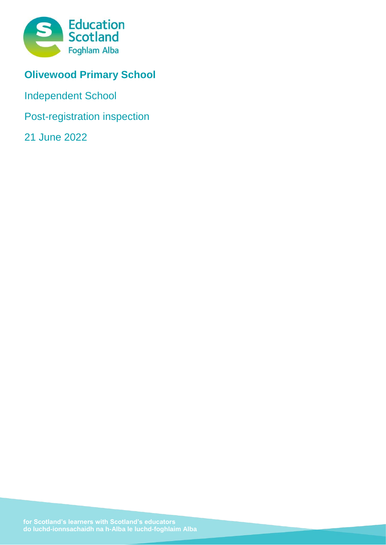

# **Olivewood Primary School**

Independent School

Post-registration inspection

21 June 2022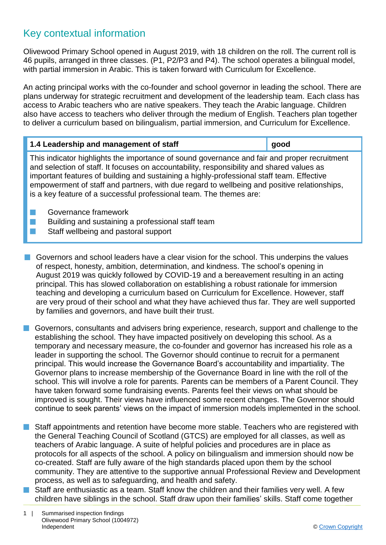### Key contextual information

Olivewood Primary School opened in August 2019, with 18 children on the roll. The current roll is 46 pupils, arranged in three classes. (P1, P2/P3 and P4). The school operates a bilingual model, with partial immersion in Arabic. This is taken forward with Curriculum for Excellence.

An acting principal works with the co-founder and school governor in leading the school. There are plans underway for strategic recruitment and development of the leadership team. Each class has access to Arabic teachers who are native speakers. They teach the Arabic language. Children also have access to teachers who deliver through the medium of English. Teachers plan together to deliver a curriculum based on bilingualism, partial immersion, and Curriculum for Excellence.

| 1.4 Leadership and management of staff | qood |
|----------------------------------------|------|
|                                        |      |

This indicator highlights the importance of sound governance and fair and proper recruitment and selection of staff. It focuses on accountability, responsibility and shared values as important features of building and sustaining a highly-professional staff team. Effective empowerment of staff and partners, with due regard to wellbeing and positive relationships, is a key feature of a successful professional team. The themes are:

- **n** Governance framework
- **n** Building and sustaining a professional staff team
- **n** Staff wellbeing and pastoral support
- $\blacksquare$  Governors and school leaders have a clear vision for the school. This underpins the values of respect, honesty, ambition, determination, and kindness. The school's opening in August 2019 was quickly followed by COVID-19 and a bereavement resulting in an acting principal. This has slowed collaboration on establishing a robust rationale for immersion teaching and developing a curriculum based on Curriculum for Excellence. However, staff are very proud of their school and what they have achieved thus far. They are well supported by families and governors, and have built their trust.
- **n** Governors, consultants and advisers bring experience, research, support and challenge to the establishing the school. They have impacted positively on developing this school. As a temporary and necessary measure, the co-founder and governor has increased his role as a leader in supporting the school. The Governor should continue to recruit for a permanent principal. This would increase the Governance Board's accountability and impartiality. The Governor plans to increase membership of the Governance Board in line with the roll of the school. This will involve a role for parents. Parents can be members of a Parent Council. They have taken forward some fundraising events. Parents feel their views on what should be improved is sought. Their views have influenced some recent changes. The Governor should continue to seek parents' views on the impact of immersion models implemented in the school.
- Staff appointments and retention have become more stable. Teachers who are registered with the General Teaching Council of Scotland (GTCS) are employed for all classes, as well as teachers of Arabic language. A suite of helpful policies and procedures are in place as protocols for all aspects of the school. A policy on bilingualism and immersion should now be co-created. Staff are fully aware of the high standards placed upon them by the school community. They are attentive to the supportive annual Professional Review and Development process, as well as to safeguarding, and health and safety.
- $\blacksquare$  Staff are enthusiastic as a team. Staff know the children and their families very well. A few children have siblings in the school. Staff draw upon their families' skills. Staff come together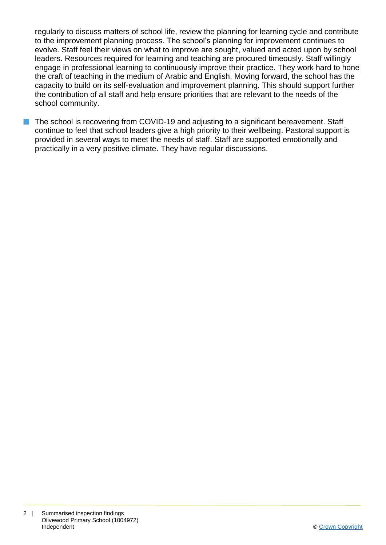regularly to discuss matters of school life, review the planning for learning cycle and contribute to the improvement planning process. The school's planning for improvement continues to evolve. Staff feel their views on what to improve are sought, valued and acted upon by school leaders. Resources required for learning and teaching are procured timeously. Staff willingly engage in professional learning to continuously improve their practice. They work hard to hone the craft of teaching in the medium of Arabic and English. Moving forward, the school has the capacity to build on its self-evaluation and improvement planning. This should support further the contribution of all staff and help ensure priorities that are relevant to the needs of the school community.

■ The school is recovering from COVID-19 and adjusting to a significant bereavement. Staff continue to feel that school leaders give a high priority to their wellbeing. Pastoral support is provided in several ways to meet the needs of staff. Staff are supported emotionally and practically in a very positive climate. They have regular discussions.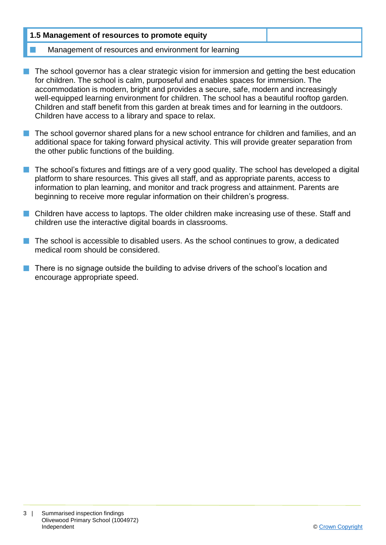| 1.5 Management of resources to promote equity        |  |
|------------------------------------------------------|--|
| Management of resources and environment for learning |  |

- $\blacksquare$  The school governor has a clear strategic vision for immersion and getting the best education for children. The school is calm, purposeful and enables spaces for immersion. The accommodation is modern, bright and provides a secure, safe, modern and increasingly well-equipped learning environment for children. The school has a beautiful rooftop garden. Children and staff benefit from this garden at break times and for learning in the outdoors. Children have access to a library and space to relax.
- $\blacksquare$  The school governor shared plans for a new school entrance for children and families, and an additional space for taking forward physical activity. This will provide greater separation from the other public functions of the building.
- $\blacksquare$  The school's fixtures and fittings are of a very good quality. The school has developed a digital platform to share resources. This gives all staff, and as appropriate parents, access to information to plan learning, and monitor and track progress and attainment. Parents are beginning to receive more regular information on their children's progress.
- Children have access to laptops. The older children make increasing use of these. Staff and children use the interactive digital boards in classrooms.
- $\blacksquare$  The school is accessible to disabled users. As the school continues to grow, a dedicated medical room should be considered.
- **n** There is no signage outside the building to advise drivers of the school's location and encourage appropriate speed.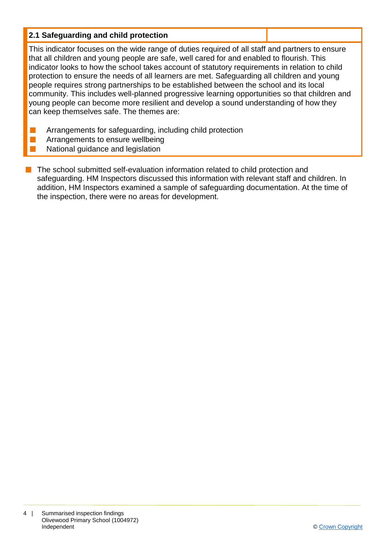#### **2.1 Safeguarding and child protection**

This indicator focuses on the wide range of duties required of all staff and partners to ensure that all children and young people are safe, well cared for and enabled to flourish. This indicator looks to how the school takes account of statutory requirements in relation to child protection to ensure the needs of all learners are met. Safeguarding all children and young people requires strong partnerships to be established between the school and its local community. This includes well-planned progressive learning opportunities so that children and young people can become more resilient and develop a sound understanding of how they can keep themselves safe. The themes are:

- **n** Arrangements for safeguarding, including child protection
- Arrangements to ensure wellbeing
- National guidance and legislation
- $\blacksquare$  The school submitted self-evaluation information related to child protection and safeguarding. HM Inspectors discussed this information with relevant staff and children. In addition, HM Inspectors examined a sample of safeguarding documentation. At the time of the inspection, there were no areas for development.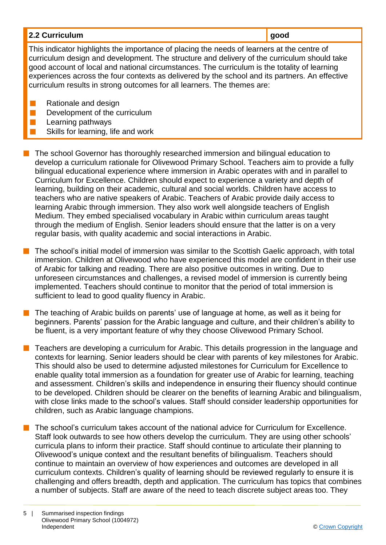| 2.2 Curriculum                                                                              |  |
|---------------------------------------------------------------------------------------------|--|
| This indicator highlights the importance of placing the needs of learners of the control of |  |

This indicator highlights the importance of placing the needs of learners at the centre of curriculum design and development. The structure and delivery of the curriculum should take good account of local and national circumstances. The curriculum is the totality of learning experiences across the four contexts as delivered by the school and its partners. An effective curriculum results in strong outcomes for all learners. The themes are:

- $\blacksquare$  Rationale and design
- $\blacksquare$  Development of the curriculum

Learning pathways

Skills for learning, life and work

 $\blacksquare$  The school Governor has thoroughly researched immersion and bilingual education to develop a curriculum rationale for Olivewood Primary School. Teachers aim to provide a fully bilingual educational experience where immersion in Arabic operates with and in parallel to Curriculum for Excellence. Children should expect to experience a variety and depth of learning, building on their academic, cultural and social worlds. Children have access to teachers who are native speakers of Arabic. Teachers of Arabic provide daily access to learning Arabic through immersion. They also work well alongside teachers of English Medium. They embed specialised vocabulary in Arabic within curriculum areas taught through the medium of English. Senior leaders should ensure that the latter is on a very regular basis, with quality academic and social interactions in Arabic.

The school's initial model of immersion was similar to the Scottish Gaelic approach, with total immersion. Children at Olivewood who have experienced this model are confident in their use of Arabic for talking and reading. There are also positive outcomes in writing. Due to unforeseen circumstances and challenges, a revised model of immersion is currently being implemented. Teachers should continue to monitor that the period of total immersion is sufficient to lead to good quality fluency in Arabic.

 $\blacksquare$  The teaching of Arabic builds on parents' use of language at home, as well as it being for beginners. Parents' passion for the Arabic language and culture, and their children's ability to be fluent, is a very important feature of why they choose Olivewood Primary School.

n Teachers are developing a curriculum for Arabic. This details progression in the language and contexts for learning. Senior leaders should be clear with parents of key milestones for Arabic. This should also be used to determine adjusted milestones for Curriculum for Excellence to enable quality total immersion as a foundation for greater use of Arabic for learning, teaching and assessment. Children's skills and independence in ensuring their fluency should continue to be developed. Children should be clearer on the benefits of learning Arabic and bilingualism, with close links made to the school's values. Staff should consider leadership opportunities for children, such as Arabic language champions.

The school's curriculum takes account of the national advice for Curriculum for Excellence. Staff look outwards to see how others develop the curriculum. They are using other schools' curricula plans to inform their practice. Staff should continue to articulate their planning to Olivewood's unique context and the resultant benefits of bilingualism. Teachers should continue to maintain an overview of how experiences and outcomes are developed in all curriculum contexts. Children's quality of learning should be reviewed regularly to ensure it is challenging and offers breadth, depth and application. The curriculum has topics that combines a number of subjects. Staff are aware of the need to teach discrete subject areas too. They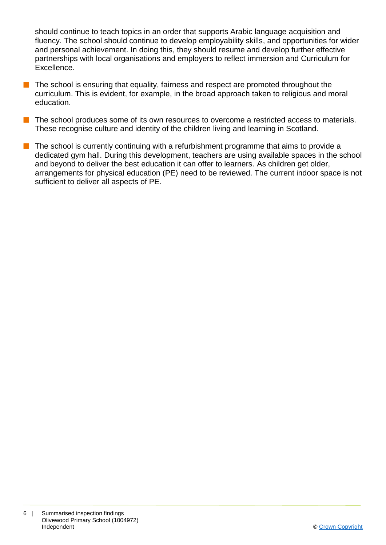should continue to teach topics in an order that supports Arabic language acquisition and fluency. The school should continue to develop employability skills, and opportunities for wider and personal achievement. In doing this, they should resume and develop further effective partnerships with local organisations and employers to reflect immersion and Curriculum for Excellence.

 $\blacksquare$  The school is ensuring that equality, fairness and respect are promoted throughout the curriculum. This is evident, for example, in the broad approach taken to religious and moral education.

**n** The school produces some of its own resources to overcome a restricted access to materials. These recognise culture and identity of the children living and learning in Scotland.

 $\blacksquare$  The school is currently continuing with a refurbishment programme that aims to provide a dedicated gym hall. During this development, teachers are using available spaces in the school and beyond to deliver the best education it can offer to learners. As children get older, arrangements for physical education (PE) need to be reviewed. The current indoor space is not sufficient to deliver all aspects of PE.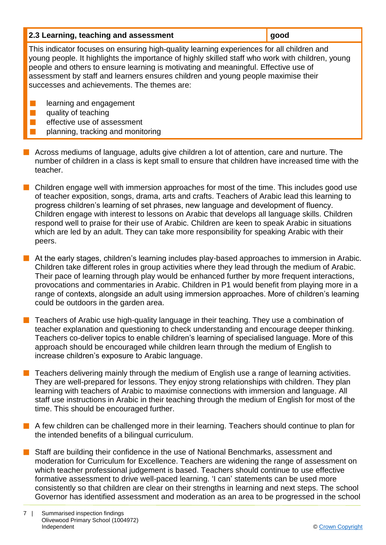| 2.3 Learning, teaching and assessment | good |
|---------------------------------------|------|
|---------------------------------------|------|

This indicator focuses on ensuring high-quality learning experiences for all children and young people. It highlights the importance of highly skilled staff who work with children, young people and others to ensure learning is motivating and meaningful. Effective use of assessment by staff and learners ensures children and young people maximise their successes and achievements. The themes are:

- **n** learning and engagement
- $\blacksquare$  quality of teaching
	- effective use of assessment
	- planning, tracking and monitoring
- **n** Across mediums of language, adults give children a lot of attention, care and nurture. The number of children in a class is kept small to ensure that children have increased time with the teacher.
- $\blacksquare$  Children engage well with immersion approaches for most of the time. This includes good use of teacher exposition, songs, drama, arts and crafts. Teachers of Arabic lead this learning to progress children's learning of set phrases, new language and development of fluency. Children engage with interest to lessons on Arabic that develops all language skills. Children respond well to praise for their use of Arabic. Children are keen to speak Arabic in situations which are led by an adult. They can take more responsibility for speaking Arabic with their peers.
- **n** At the early stages, children's learning includes play-based approaches to immersion in Arabic. Children take different roles in group activities where they lead through the medium of Arabic. Their pace of learning through play would be enhanced further by more frequent interactions, provocations and commentaries in Arabic. Children in P1 would benefit from playing more in a range of contexts, alongside an adult using immersion approaches. More of children's learning could be outdoors in the garden area.
- $\blacksquare$  Teachers of Arabic use high-quality language in their teaching. They use a combination of teacher explanation and questioning to check understanding and encourage deeper thinking. Teachers co-deliver topics to enable children's learning of specialised language. More of this approach should be encouraged while children learn through the medium of English to increase children's exposure to Arabic language.
- Teachers delivering mainly through the medium of English use a range of learning activities. They are well-prepared for lessons. They enjoy strong relationships with children. They plan learning with teachers of Arabic to maximise connections with immersion and language. All staff use instructions in Arabic in their teaching through the medium of English for most of the time. This should be encouraged further.
- $\blacksquare$  A few children can be challenged more in their learning. Teachers should continue to plan for the intended benefits of a bilingual curriculum.
- Staff are building their confidence in the use of National Benchmarks, assessment and moderation for Curriculum for Excellence. Teachers are widening the range of assessment on which teacher professional judgement is based. Teachers should continue to use effective formative assessment to drive well-paced learning. 'I can' statements can be used more consistently so that children are clear on their strengths in learning and next steps. The school Governor has identified assessment and moderation as an area to be progressed in the school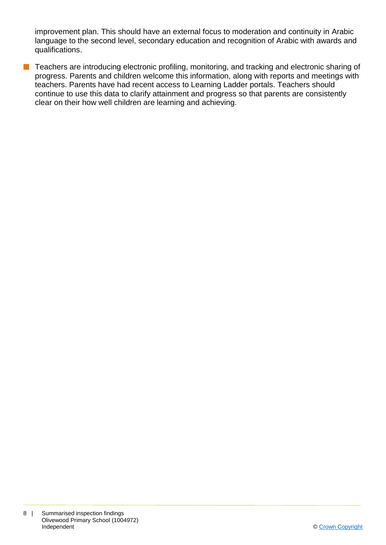improvement plan. This should have an external focus to moderation and continuity in Arabic language to the second level, secondary education and recognition of Arabic with awards and qualifications.

■ Teachers are introducing electronic profiling, monitoring, and tracking and electronic sharing of progress. Parents and children welcome this information, along with reports and meetings with teachers. Parents have had recent access to Learning Ladder portals. Teachers should continue to use this data to clarify attainment and progress so that parents are consistently clear on their how well children are learning and achieving.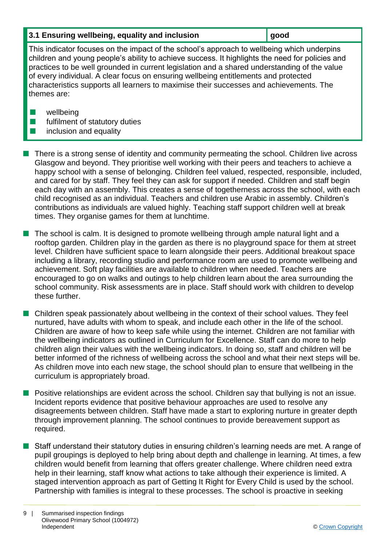#### **3.1 Ensuring wellbeing, equality and inclusion gives good**

This indicator focuses on the impact of the school's approach to wellbeing which underpins children and young people's ability to achieve success. It highlights the need for policies and practices to be well grounded in current legislation and a shared understanding of the value of every individual. A clear focus on ensuring wellbeing entitlements and protected characteristics supports all learners to maximise their successes and achievements. The themes are:

- $\blacksquare$  wellbeing
- $\blacksquare$  fulfilment of statutory duties
- $\blacksquare$  inclusion and equality

n There is a strong sense of identity and community permeating the school. Children live across Glasgow and beyond. They prioritise well working with their peers and teachers to achieve a happy school with a sense of belonging. Children feel valued, respected, responsible, included, and cared for by staff. They feel they can ask for support if needed. Children and staff begin each day with an assembly. This creates a sense of togetherness across the school, with each child recognised as an individual. Teachers and children use Arabic in assembly. Children's contributions as individuals are valued highly. Teaching staff support children well at break times. They organise games for them at lunchtime.

- The school is calm. It is designed to promote wellbeing through ample natural light and a rooftop garden. Children play in the garden as there is no playground space for them at street level. Children have sufficient space to learn alongside their peers. Additional breakout space including a library, recording studio and performance room are used to promote wellbeing and achievement. Soft play facilities are available to children when needed. Teachers are encouraged to go on walks and outings to help children learn about the area surrounding the school community. Risk assessments are in place. Staff should work with children to develop these further.
- $\blacksquare$  Children speak passionately about wellbeing in the context of their school values. They feel nurtured, have adults with whom to speak, and include each other in the life of the school. Children are aware of how to keep safe while using the internet. Children are not familiar with the wellbeing indicators as outlined in Curriculum for Excellence. Staff can do more to help children align their values with the wellbeing indicators. In doing so, staff and children will be better informed of the richness of wellbeing across the school and what their next steps will be. As children move into each new stage, the school should plan to ensure that wellbeing in the curriculum is appropriately broad.
- $\blacksquare$  Positive relationships are evident across the school. Children say that bullying is not an issue. Incident reports evidence that positive behaviour approaches are used to resolve any disagreements between children. Staff have made a start to exploring nurture in greater depth through improvement planning. The school continues to provide bereavement support as required.
- Staff understand their statutory duties in ensuring children's learning needs are met. A range of pupil groupings is deployed to help bring about depth and challenge in learning. At times, a few children would benefit from learning that offers greater challenge. Where children need extra help in their learning, staff know what actions to take although their experience is limited. A staged intervention approach as part of Getting It Right for Every Child is used by the school. Partnership with families is integral to these processes. The school is proactive in seeking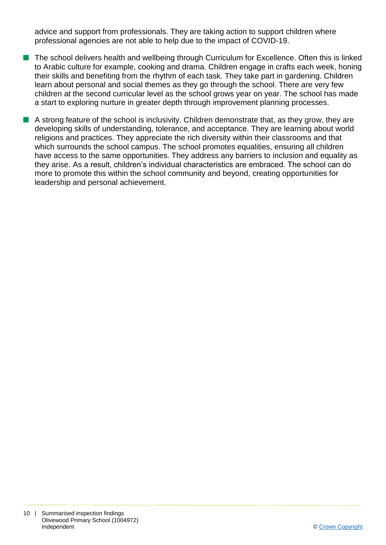advice and support from professionals. They are taking action to support children where professional agencies are not able to help due to the impact of COVID-19.

- n The school delivers health and wellbeing through Curriculum for Excellence. Often this is linked to Arabic culture for example, cooking and drama. Children engage in crafts each week, honing their skills and benefiting from the rhythm of each task. They take part in gardening. Children learn about personal and social themes as they go through the school. There are very few children at the second curricular level as the school grows year on year. The school has made a start to exploring nurture in greater depth through improvement planning processes.
- $\blacksquare$  A strong feature of the school is inclusivity. Children demonstrate that, as they grow, they are developing skills of understanding, tolerance, and acceptance. They are learning about world religions and practices. They appreciate the rich diversity within their classrooms and that which surrounds the school campus. The school promotes equalities, ensuring all children have access to the same opportunities. They address any barriers to inclusion and equality as they arise. As a result, children's individual characteristics are embraced. The school can do more to promote this within the school community and beyond, creating opportunities for leadership and personal achievement.